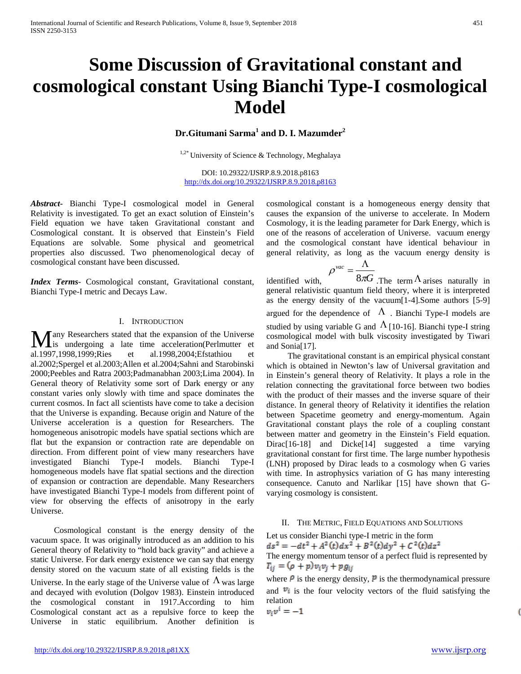# **Some Discussion of Gravitational constant and cosmological constant Using Bianchi Type-I cosmological Model**

**Dr.Gitumani Sarma<sup>1</sup> and D. I. Mazumder<sup>2</sup>**

 $1,2^*$  University of Science & Technology, Meghalaya

DOI: 10.29322/IJSRP.8.9.2018.p8163 <http://dx.doi.org/10.29322/IJSRP.8.9.2018.p8163>

*Abstract***-** Bianchi Type-I cosmological model in General Relativity is investigated. To get an exact solution of Einstein's Field equation we have taken Gravitational constant and Cosmological constant. It is observed that Einstein's Field Equations are solvable. Some physical and geometrical properties also discussed. Two phenomenological decay of cosmological constant have been discussed.

*Index Terms*- Cosmological constant, Gravitational constant, Bianchi Type-I metric and Decays Law.

### I. INTRODUCTION

any Researchers stated that the expansion of the Universe **Many Researchers stated that the expansion of the Universe**<br>is undergoing a late time acceleration(Perlmutter et 1,1003,1000,1000,1000,200,1000,200,415 to the t al.1997,1998,1999;Ries et al.1998,2004;Efstathiou et al.2002;Spergel et al.2003;Allen et al.2004;Sahni and Starobinski 2000;Peebles and Ratra 2003;Padmanabhan 2003;Lima 2004). In General theory of Relativity some sort of Dark energy or any constant varies only slowly with time and space dominates the current cosmos. In fact all scientists have come to take a decision that the Universe is expanding. Because origin and Nature of the Universe acceleration is a question for Researchers. The homogeneous anisotropic models have spatial sections which are flat but the expansion or contraction rate are dependable on direction. From different point of view many researchers have investigated Bianchi Type-I models. Bianchi Type-I homogeneous models have flat spatial sections and the direction of expansion or contraction are dependable. Many Researchers have investigated Bianchi Type-I models from different point of view for observing the effects of anisotropy in the early Universe.

 Cosmological constant is the energy density of the vacuum space. It was originally introduced as an addition to his General theory of Relativity to "hold back gravity" and achieve a static Universe. For dark energy existence we can say that energy density stored on the vacuum state of all existing fields is the Universe. In the early stage of the Universe value of  $\Lambda$  was large and decayed with evolution (Dolgov 1983). Einstein introduced the cosmological constant in 1917.According to him Cosmological constant act as a repulsive force to keep the Universe in static equilibrium. Another definition is

cosmological constant is a homogeneous energy density that causes the expansion of the universe to accelerate. In Modern Cosmology, it is the leading parameter for Dark Energy, which is one of the reasons of acceleration of Universe. vacuum energy and the cosmological constant have identical behaviour in general relativity, as long as the vacuum energy density is

$$
\rho^{vac} = \frac{\Lambda}{8\pi G}
$$

identified with,  $\rho^{\text{max}} = \frac{1}{8\pi G}$ . The term  $\Lambda$  arises naturally in general relativistic quantum field theory, where it is interpreted as the energy density of the vacuum[1-4].Some authors [5-9] argued for the dependence of  $\Lambda$ . Bianchi Type-I models are studied by using variable G and  $\Lambda$  [10-16]. Bianchi type-I string cosmological model with bulk viscosity investigated by Tiwari and Sonia[17].

 The gravitational constant is an empirical physical constant which is obtained in Newton's law of Universal gravitation and in Einstein's general theory of Relativity. It plays a role in the relation connecting the gravitational force between two bodies with the product of their masses and the inverse square of their distance. In general theory of Relativity it identifies the relation between Spacetime geometry and energy-momentum. Again Gravitational constant plays the role of a coupling constant between matter and geometry in the Einstein's Field equation. Dirac[16-18] and Dicke[14] suggested a time varying gravitational constant for first time. The large number hypothesis (LNH) proposed by Dirac leads to a cosmology when G varies with time. In astrophysics variation of G has many interesting consequence. Canuto and Narlikar [15] have shown that Gvarying cosmology is consistent.

#### II. THE METRIC, FIELD EQUATIONS AND SOLUTIONS

Let us consider Bianchi type-I metric in the form<br>  $ds^2 = -dt^2 + A^2(t)dx^2 + B^2(t)dy^2 + C^2(t)dz^2$ The energy momentum tensor of a perfect fluid is represented by  $\overline{r}_{ii} = (\rho + p)v_i v_i + pg_{ii}$ 

where  $\mathbf{\rho}$  is the energy density,  $\mathbf{\mathbb{P}}$  is the thermodynamical pressure and  $\mathbb{F}_i$  is the four velocity vectors of the fluid satisfying the relation

$$
v_i v^i = -1
$$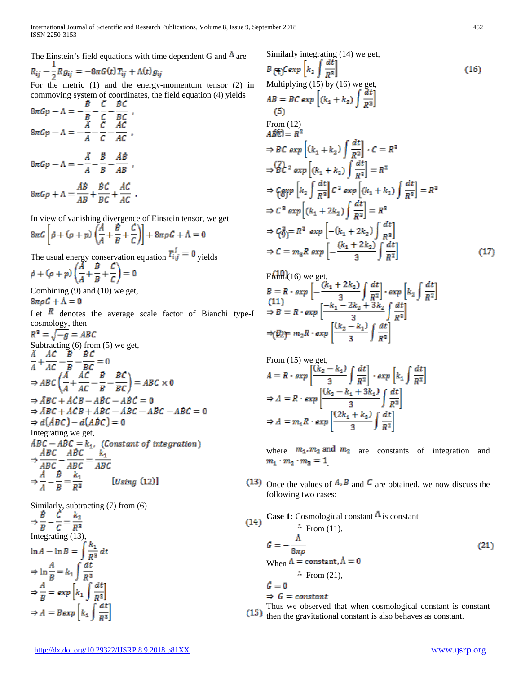The Einstein's field equations with time dependent G and  $\Lambda$  are

$$
R_{ij} - \frac{1}{2} R g_{ij} = -8\pi G(t) T_{ij} + \Lambda(t) g_{ij}
$$

For the metric (1) and the energy-momentum tensor (2) in commoving system of coordinates, the field equation (4) yields

$$
8\pi Gp - \Lambda = -\frac{B}{B} - \frac{C}{C} - \frac{BC}{BC} ,
$$
  
\n
$$
8\pi Gp - \Lambda = -\frac{A}{A} - \frac{C}{C} - \frac{AB}{AC} ,
$$
  
\n
$$
8\pi Gp - \Lambda = -\frac{A}{A} - \frac{B}{B} - \frac{AB}{AB} ,
$$
  
\n
$$
8\pi Gp + \Lambda = \frac{AB}{AB} + \frac{BC}{BC} + \frac{AC}{AC} .
$$

In view of vanishing divergence of Einstein tensor, we get

$$
8\pi G\left[\rho + (\rho + p)\left(\frac{A}{A} + \frac{B}{B} + \frac{C}{C}\right)\right] + 8\pi\rho G + \Lambda = 0
$$

The usual energy conservation equation  $T_{i,j}^T = 0$  yields<br>  $\dot{\rho} + (\rho + p) \left( \frac{A}{A} + \frac{B}{B} + \frac{C}{C} \right) = 0$ Combining (9) and (10) we get,  $8\pi\rho G + \Lambda = 0$ Let  $\overline{R}$  denotes the average scale factor of Bianchi type-I cosmology, then<br> $R^2 = \sqrt{-g} = ABC$ Subtracting (6) from (5) we get,<br>  $\frac{\overline{A}}{A} + \frac{\overline{AC}}{AC} - \frac{\overline{B}}{B} - \frac{\overline{BC}}{BC} = 0$ <br>  $\Rightarrow ABC \left( \frac{\overline{A}}{A} + \frac{\overline{AC}}{AC} - \frac{\overline{B}}{B} - \frac{\overline{BC}}{BC} \right) = ABC \times 0$  $\Rightarrow$   $\overline{ABC}$  +  $\overline{ACB}$  -  $\overline{ABC}$  -  $\overline{ABC}$  = 0  $\Rightarrow$   $\overrightarrow{ABC}$  +  $\overrightarrow{ACB}$  +  $\overrightarrow{ABC}$  -  $\overrightarrow{ABC}$  -  $\overrightarrow{ABC}$  -  $\overrightarrow{ABC}$  = 0  $\Rightarrow$   $d(ABC) - d(ABC) = 0$ Integrating we get,<br>  $\begin{aligned} \n\overrightarrow{ABC} - \overrightarrow{ABC} &= k_1. \quad \text{(Constant of integration)}\\ \n\Rightarrow \frac{\overrightarrow{ABC}}{\overrightarrow{ABC}} - \frac{\overrightarrow{ABC}}{\overrightarrow{ABC}} &= \frac{k_1}{\overrightarrow{ABC}} \n\end{aligned}$  $\Rightarrow \frac{A}{A} - \frac{B}{B} = \frac{k_1}{B^2}$ [ $Using (12)$ ]

Similarly, subtracting (7) from (6)<br>  $\Rightarrow \frac{\vec{B}}{B} - \frac{\vec{C}}{C} = \frac{k_2}{R^2}$ Integrating (13)  $\ln A - \ln B = \int \frac{k_1}{R^2} dt$  $\Rightarrow$  ln  $\frac{A}{R}$  = k<sub>1</sub>  $\int \frac{dt}{R^2}$  $\Rightarrow \frac{A}{B} = exp \left[ k_1 \int \frac{dt}{R^2} \right]$  $\Rightarrow A = B exp\left[k_1 \int \frac{dt}{R^2}\right]$ 

Similarly integrating (14) we get

$$
B(\pm)Cexp\left[k_2\int \frac{dt}{R^2}\right]
$$
\n(16)  
\nMultiplying (15) by (16) we get,  
\n
$$
AB = BC \exp\left[(k_1 + k_2)\int \frac{dt}{R^2}\right]
$$
\n(5)  
\nFrom (12)  
\n
$$
A\hat{B}\hat{C} = R^2
$$
\n
$$
\Rightarrow BC \exp\left[(k_1 + k_2)\int \frac{dt}{R^2}\right] \cdot C = R^2
$$
\n
$$
\Rightarrow \bigoplus C^2 \exp\left[(k_1 + k_2)\int \frac{dt}{R^2}\right] = R^2
$$
\n
$$
\Rightarrow \bigoplus C^2 \exp\left[k_2\int \frac{dt}{R^2}\right] C^2 \exp\left[(k_1 + k_2)\int \frac{dt}{R^2}\right] = R^2
$$
\n
$$
\Rightarrow C^2 \exp\left[(k_1 + 2k_2)\int \frac{dt}{R^2}\right] = R^2
$$
\n
$$
\Rightarrow \bigoplus C^2 \exp\left[-(k_1 + 2k_2)\int \frac{dt}{R^2}\right]
$$
\n
$$
\Rightarrow C = m_2 R \exp\left[-\frac{(k_1 + 2k_2)}{3}\int \frac{dt}{R^2}\right]
$$
\n(17)

Ffdmk(16) we get,  
\n
$$
B = R \cdot exp \left[ -\frac{(k_1 + 2k_2)}{3} \int \frac{dt}{R^2} \right] \cdot exp \left[ k_2 \int \frac{dt}{R^2} \right]
$$
\n
$$
\Rightarrow B = R \cdot exp \left[ \frac{-k_1 - 2k_2 + 3k_2}{3} \int \frac{dt}{R^2} \right]
$$
\n
$$
\Rightarrow (\cancel{E} \geq \frac{1}{2}) \cdot exp \left[ \frac{(k_2 - k_1)}{3} \int \frac{dt}{R^2} \right]
$$

From (15) we get,  
\n
$$
A = R \cdot exp \left[ \frac{(k_2 - k_1)}{3} \int \frac{dt}{R^2} \right] \cdot exp \left[ k_1 \int \frac{dt}{R^2} \right]
$$
\n
$$
\Rightarrow A = R \cdot exp \left[ \frac{(k_2 - k_1 + 3k_1)}{3} \int \frac{dt}{R^2} \right]
$$
\n
$$
\Rightarrow A = m_1 R \cdot exp \left[ \frac{(2k_1 + k_2)}{3} \int \frac{dt}{R^2} \right]
$$

where  $m_1$ ,  $m_2$  and  $m_3$  are constants of integration and  $m_1\cdot m_2\cdot m_3=1$ 

- (13) Once the values of  $A$ <sup>b</sup> and  $C$  are obtained, we now discuss the following two cases:
- **Case 1:** Cosmological constant  $\mathbf{\hat{A}}$  is constant  $(14)$

$$
\vec{G} = -\frac{\vec{\Lambda}}{8\pi\rho}
$$
 (21)  
When  $\vec{\Lambda} = \text{constant}$ ,  $\vec{\Lambda} = 0$   
 $\therefore$  From (21),  
 $\vec{G} = 0$   
 $\Rightarrow \vec{G} = \text{constant}$   
Thus we observed the when generalized constant is constant.

Thus we observed that when cosmological constant is constant then the gravitational constant is also behaves as constant.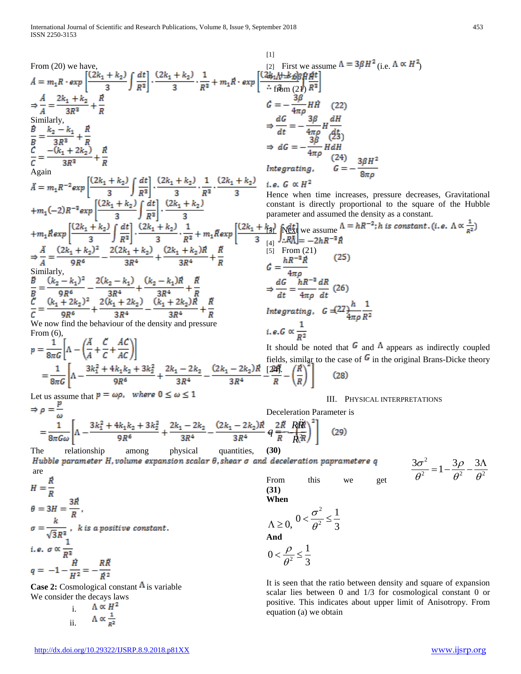From (20) we have,  
\n
$$
A = m_1R \cdot exp \left[ \frac{(2k_1 + k_2)}{3R^2} \int \frac{dt}{R^2} \right] \cdot \frac{(2k_1 + k_2)}{3R} \cdot \frac{1}{R^3} + m_2R \cdot exp \left[ \frac{(\frac{2k_1 + k_2}{3R^2})R^2}{(2k_1 + 2R^2)R^2} \right]
$$
  
\n $\Rightarrow \frac{A}{A} = \frac{2k_1 + k_2}{3R^2} + \frac{R}{R}$   
\n $\Rightarrow \frac{A}{2R^2} = \frac{2k_1 + k_2}{3R^2} + \frac{R}{R}$   
\n $\Rightarrow \frac{A}{2R} = \frac{2k_1 + k_2}{3R^2} + \frac{R}{R}$   
\n $\Rightarrow \frac{A}{2R} = \frac{2k_1 + k_2}{3R^2} + \frac{R}{R}$   
\n $\Rightarrow \frac{A}{2R} = \frac{3R}{3R^2} + \frac{R}{R}$   
\n $\Rightarrow \frac{A}{2R} = \frac{3R}{3R^2} + \frac{R}{R}$   
\n $\Rightarrow \frac{A}{2R} = \frac{3R}{3R^2} + \frac{R}{R}$   
\n $\Rightarrow \frac{A}{2R} = m_1R^{-2}exp \left[ \frac{(2k_1 + k_2)}{3R} \right] \frac{dt}{R^2} \right] \cdot \frac{(2k_1 + k_2)}{3R} \cdot \frac{1}{R^2} + m_1Rexp \left[ \frac{(2k_1 + k_2)}{3R} \right] \cdot \frac{dx}{R^2} + m_1Rexp \left[ \frac{(2k_1 + k_2)}{3R} \right] \cdot \frac{dx}{R^2} + \frac{dx}{R}$   
\n $\Rightarrow \frac{A}{A} = \frac{(2k_1 + k_2)^2}{3R^2} - \frac{2(2k_1 + k_2)}{3R^2} \right] \cdot \frac{dx}{R^2} \cdot \frac{1}{R^2} + m_1Rexp \left[ \frac{(2k_1 + k_2)R}{3R^2} \right] \cdot \frac{dx}{R^2} + \frac{dx}{R}$   
\n $\Rightarrow \frac{A}{A} = \frac{(2k_1 + k_2)^2}{3R^$ 

ii.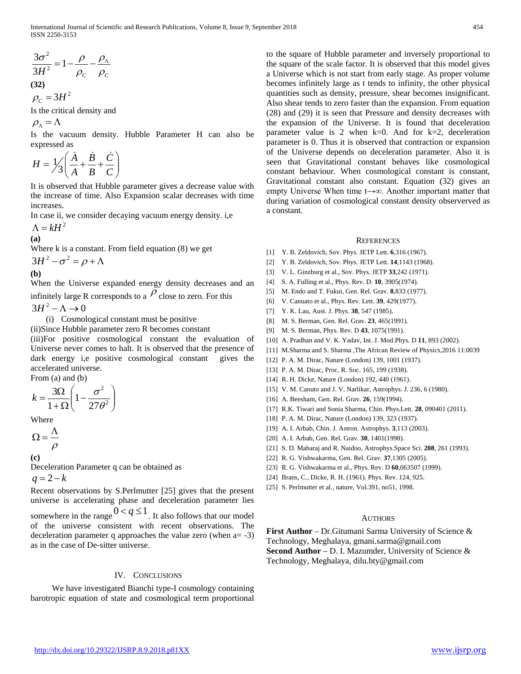International Journal of Scientific and Research Publications, Volume 8, Issue 9, September 2018 454 ISSN 2250-3153

$$
\frac{3\sigma^2}{3H^2} = 1 - \frac{\rho}{\rho_c} - \frac{\rho_{\Lambda}}{\rho_c}
$$
  
(32)  

$$
\rho_c = 3H^2
$$

Is the critical density and

 $\rho_{\Lambda} = \Lambda$ 

Is the vacuum density. Hubble Parameter H can also be expressed as

$$
H = \frac{1}{3} \left( \frac{\dot{A}}{A} + \frac{\dot{B}}{B} + \frac{\dot{C}}{C} \right)
$$

It is observed that Hubble parameter gives a decrease value with the increase of time. Also Expansion scalar decreases with time increases.

In case ii, we consider decaying vacuum energy density. i,e

$$
\Lambda = kH^2
$$
  
(a)

Where k is a constant. From field equation (8) we get  $3H^2 - \sigma^2 = \rho + \Lambda$ <br>(b)

$$
(\mathbf{b})
$$

When the Universe expanded energy density decreases and an infinitely large R corresponds to a  $\rho$  close to zero. For this

 $3H^2 - \Lambda \rightarrow 0$ 

(i) Cosmological constant must be positive

(ii)Since Hubble parameter zero R becomes constant (iii)For positive cosmological constant the evaluation of Universe never comes to halt. It is observed that the presence of dark energy i,e positive cosmological constant gives the accelerated universe. From (a) and (b)

$$
k = \frac{3\Omega}{1 + \Omega} \left( 1 - \frac{\sigma^2}{27\theta^2} \right)
$$

Where

$$
\Omega = \frac{\Lambda}{\rho}
$$

 **(c)**

Deceleration Parameter q can be obtained as

 $q = 2 - k$ 

Recent observations by S.Perlmutter [25] gives that the present universe is accelerating phase and deceleration parameter lies somewhere in the range  $0 < q \le 1$ . It also follows that our model

of the universe consistent with recent observations. The deceleration parameter q approaches the value zero (when a= -3) as in the case of De-sitter universe.

## IV. CONCLUSIONS

 We have investigated Bianchi type-I cosmology containing barotropic equation of state and cosmological term proportional to the square of Hubble parameter and inversely proportional to the square of the scale factor. It is observed that this model gives a Universe which is not start from early stage. As proper volume becomes infinitely large as t tends to infinity, the other physical quantities such as density, pressure, shear becomes insignificant. Also shear tends to zero faster than the expansion. From equation (28) and (29) it is seen that Pressure and density decreases with the expansion of the Universe. It is found that deceleration parameter value is 2 when  $k=0$ . And for  $k=2$ , deceleration parameter is 0. Thus it is observed that contraction or expansion of the Universe depends on deceleration parameter. Also it is seen that Gravitational constant behaves like cosmological constant behaviour. When cosmological constant is constant, Gravitational constant also constant. Equation (32) gives an empty Universe When time t→∞. Another important matter that during variation of cosmological constant density observerved as a constant.

#### **REFERENCES**

- [1] Y. B. Zeldovich, Sov. Phys. JETP Lett. **6**,316 (1967).
- [2] Y. B. Zeldovich, Sov. Phys. JETP Lett. **14**,1143 (1968).
- [3] V. L. Ginzburg et al., Sov. Phys. JETP **33**,242 (1971).
- [4] S. A. Fulling et al., Phys. Rev. D. **10**, 3905(1974).
- [5] M. Endo and T. Fukui, Gen. Rel. Grav. **8**,833 (1977).
- [6] V. Canuato et al., Phys. Rev. Lett. **39**, 429(1977).
- [7] Y. K. Lau, Aust. J. Phys. **38**, 547 (1985).
- [8] M. S. Berman, Gen. Rel. Grav. **23**, 465(1991).
- [9] M. S. Berman, Phys. Rev. D **43**, 1075(1991).
- [10] A. Pradhan and V. K. Yadav, Int. J. Mod.Phys. D **11**, 893 (2002).
- [11] M.Sharma and S. Sharma ,The African Review of Physics,2016 11:0039
- [12] P. A. M. Dirac, Nature (London) 139, 1001 (1937).
- [13] P. A. M. Dirac, Proc. R. Soc. 165, 199 (1938).
- [14] R. H. Dicke, Nature (London) 192, 440 (1961).
- [15] V. M. Canuto and J. V. Narlikar, Astrophys. J. 236, 6 (1980).
- [16] A. Beesham, Gen. Rel. Grav. **26**, 159(1994).
- [17] R.K. Tiwari and Sonia Sharma, Chin. Phys.Lett. **28**, 090401 (2011).
- [18] P. A. M. Dirac, Nature (London) 139, 323 (1937).
- [19] A. I. Arbab, Chin. J. Astron. Astrophys. **3**,113 (2003).
- [20] A. I. Arbab, Gen. Rel. Grav. **30**, 1401(1998).
- [21] S. D. Maharaj and R. Naidoo, Astrophys.Space Sci. **208**, 261 (1993).
- [22] R. G. Vishwakarma, Gen. Rel. Grav. **37**,1305 (2005).
- [23] R. G. Vishwakarma et al., Phys. Rev. D **60**,063507 (1999).
- [24] Brans, C., Dicke, R. H. (1961). Phys. Rev. 124, 925.
- [25] S. Perlmutter et al., nature, Vol.391, no51, 1998.

## **AUTHORS**

**First Author** – Dr.Gitumani Sarma University of Science & Technology, Meghalaya, gmani.sarma@gmail.com **Second Author** – D. I. Mazumder, University of Science & Technology, Meghalaya, dilu.bty@gmail.com